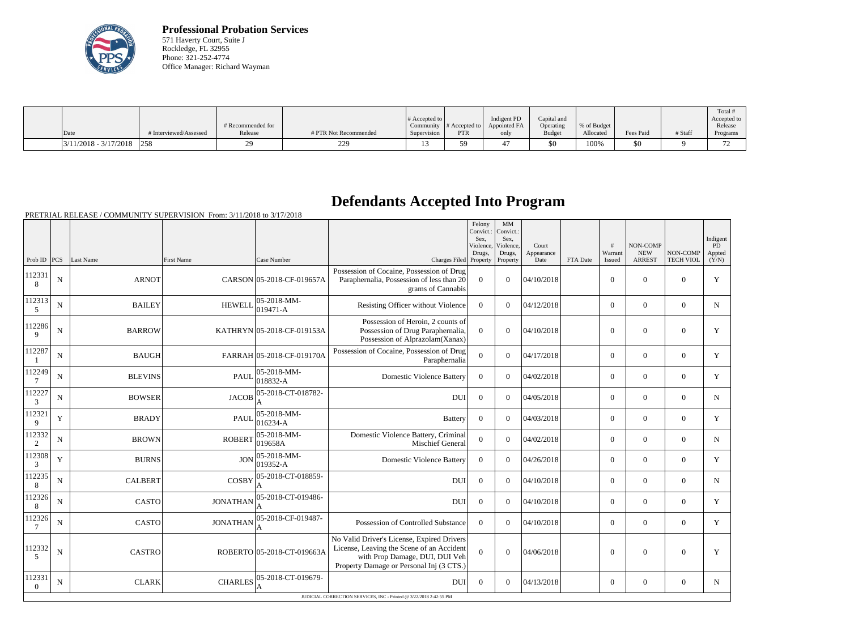

**Professional Probation Services** 571 Haverty Court, Suite J Rockledge, FL 32955 Phone: 321-252-4774 Office Manager: Richard Wayman

|                         |                        |                   |                       |                              |               |              |               |              |           |         | Total i       |
|-------------------------|------------------------|-------------------|-----------------------|------------------------------|---------------|--------------|---------------|--------------|-----------|---------|---------------|
|                         |                        |                   |                       | $\#$ Accepted to $\parallel$ |               | Indigent PD  | Capital and   |              |           |         | Accepted to   |
|                         |                        | # Recommended for |                       | Community                    | # Accepted to | Appointed FA | Operating     | \% of Budget |           |         | Release       |
| Date                    | # Interviewed/Assessed | Release           | # PTR Not Recommended | Supervision                  | <b>PTR</b>    | only         | <b>Budget</b> | Allocated    | Fees Paid | # Staff | Programs      |
| $3/11/2018 - 3/17/2018$ | 258                    |                   | 229<br>44,            |                              | 50            |              | $$^{<}$       | 100%         | 50        |         | $\mathcal{L}$ |

## **Defendants Accepted Into Program**

| Warrant<br><b>NEW</b><br>NON-COMP<br>Drugs,<br>Drugs,<br>Appearance<br>Prob ID<br> PCS <br>Last Name<br><b>First Name</b><br>Case Number<br>Charges Filed Property<br><b>ARREST</b><br>Property<br>Date<br>FTA Date<br>Issued<br>Possession of Cocaine, Possession of Drug<br>112331<br>04/10/2018<br>$\mathbf N$<br><b>ARNOT</b><br>CARSON 05-2018-CF-019657A<br>Paraphernalia, Possession of less than 20<br>$\overline{0}$<br>$\boldsymbol{0}$<br>$\boldsymbol{0}$<br>$\boldsymbol{0}$<br>$\overline{0}$<br>8<br>grams of Cannabis<br>112313<br>$05-2018-MM$ -<br><b>HEWELL</b><br>$\mathbf N$<br><b>BAILEY</b><br>Resisting Officer without Violence<br>$\overline{0}$<br>04/12/2018<br>$\boldsymbol{0}$<br>$\boldsymbol{0}$<br>$\overline{0}$<br>$\theta$<br>$019471 - A$<br>5<br>Possession of Heroin, 2 counts of<br>112286<br>$\mathbf N$<br><b>BARROW</b><br>KATHRYN 05-2018-CF-019153A<br>Possession of Drug Paraphernalia,<br>$\Omega$<br>04/10/2018<br>$\theta$<br>$\theta$<br>$\Omega$<br>$\overline{0}$<br>$\mathbf{Q}$<br>Possession of Alprazolam(Xanax)<br>Possession of Cocaine, Possession of Drug<br>112287<br>$\mathbf N$<br><b>BAUGH</b><br>FARRAH 05-2018-CF-019170A<br>$\overline{0}$<br>04/17/2018<br>$\overline{0}$<br>$\boldsymbol{0}$<br>$\overline{0}$<br>$\overline{0}$<br>Paraphernalia<br>112249<br>05-2018-MM-<br>$\mathbf{0}$<br><b>BLEVINS</b><br><b>PAUL</b><br><b>Domestic Violence Battery</b><br>$\overline{0}$<br>$\theta$<br>04/02/2018<br>$\boldsymbol{0}$<br>$\boldsymbol{0}$<br>N<br>018832-A<br>112227<br>05-2018-CT-018782-<br><b>JACOB</b><br>$\mathbf{0}$<br><b>BOWSER</b><br><b>DUI</b><br>$\overline{0}$<br>$\boldsymbol{0}$<br>04/05/2018<br>$\overline{0}$<br>$\boldsymbol{0}$<br>N<br>3<br>112321<br>05-2018-MM-<br>Y<br>$\mathbf{0}$<br>$\mathbf{0}$<br><b>BRADY</b><br><b>PAUL</b><br>$\overline{0}$<br>$\theta$<br>04/03/2018<br>$\overline{0}$<br><b>Battery</b><br>016234-A<br>9<br>112332<br>05-2018-MM-<br>Domestic Violence Battery, Criminal<br><b>ROBERT</b><br>$\overline{0}$<br>04/02/2018<br>$\mathbf N$<br><b>BROWN</b><br>$\theta$<br>$\boldsymbol{0}$<br>$\boldsymbol{0}$<br>$\overline{0}$<br>019658A<br>Mischief General<br>$\overline{2}$<br>112308<br>05-2018-MM-<br>Y<br><b>JON</b><br>$\mathbf{0}$<br>$\overline{0}$<br><b>BURNS</b><br><b>Domestic Violence Battery</b><br>$\overline{0}$<br>$\theta$<br>04/26/2018<br>$\theta$<br>019352-A<br>3<br>112235<br>05-2018-CT-018859-<br><b>COSBY</b><br>N<br><b>CALBERT</b><br><b>DUI</b><br>$\overline{0}$<br>$\theta$<br>04/10/2018<br>$\boldsymbol{0}$<br>$\boldsymbol{0}$<br>$\overline{0}$<br>8<br>A<br>112326<br>05-2018-CT-019486-<br><b>CASTO</b><br><b>JONATHAN</b><br>$\mathbf{0}$<br>N<br><b>DUI</b><br>$\overline{0}$<br>$\theta$<br>04/10/2018<br>$\overline{0}$<br>$\boldsymbol{0}$<br>8<br>112326<br>05-2018-CF-019487-<br><b>CASTO</b><br><b>JONATHAN</b><br>Possession of Controlled Substance<br>04/10/2018<br>$\mathbf N$<br>$\Omega$<br>$\theta$<br>$\overline{0}$<br>$\boldsymbol{0}$<br>$\overline{0}$<br>No Valid Driver's License, Expired Drivers<br>License, Leaving the Scene of an Accident<br>112332<br>$\overline{0}$<br><b>CASTRO</b><br>ROBERTO 05-2018-CT-019663A<br>04/06/2018<br>$\boldsymbol{0}$<br>$\boldsymbol{0}$<br>$\boldsymbol{0}$<br>N<br>$\overline{0}$ |   |  |  |                                | Felony<br>Convict.:<br>Sex,<br>Violence, | MM<br>Convict.:<br>Sex,<br>Violence, | Court | # | NON-COMP |                  | Indigent<br>PD  |
|-----------------------------------------------------------------------------------------------------------------------------------------------------------------------------------------------------------------------------------------------------------------------------------------------------------------------------------------------------------------------------------------------------------------------------------------------------------------------------------------------------------------------------------------------------------------------------------------------------------------------------------------------------------------------------------------------------------------------------------------------------------------------------------------------------------------------------------------------------------------------------------------------------------------------------------------------------------------------------------------------------------------------------------------------------------------------------------------------------------------------------------------------------------------------------------------------------------------------------------------------------------------------------------------------------------------------------------------------------------------------------------------------------------------------------------------------------------------------------------------------------------------------------------------------------------------------------------------------------------------------------------------------------------------------------------------------------------------------------------------------------------------------------------------------------------------------------------------------------------------------------------------------------------------------------------------------------------------------------------------------------------------------------------------------------------------------------------------------------------------------------------------------------------------------------------------------------------------------------------------------------------------------------------------------------------------------------------------------------------------------------------------------------------------------------------------------------------------------------------------------------------------------------------------------------------------------------------------------------------------------------------------------------------------------------------------------------------------------------------------------------------------------------------------------------------------------------------------------------------------------------------------------------------------------------------------------------------------------------------------------------------------------------------------------------------------------------------------------------------------------------------------------------------------------------------------------------------------------------------------------------------------------------------------------------------------------------|---|--|--|--------------------------------|------------------------------------------|--------------------------------------|-------|---|----------|------------------|-----------------|
|                                                                                                                                                                                                                                                                                                                                                                                                                                                                                                                                                                                                                                                                                                                                                                                                                                                                                                                                                                                                                                                                                                                                                                                                                                                                                                                                                                                                                                                                                                                                                                                                                                                                                                                                                                                                                                                                                                                                                                                                                                                                                                                                                                                                                                                                                                                                                                                                                                                                                                                                                                                                                                                                                                                                                                                                                                                                                                                                                                                                                                                                                                                                                                                                                                                                                                                             |   |  |  |                                |                                          |                                      |       |   |          | <b>TECH VIOL</b> | Appted<br>(Y/N) |
|                                                                                                                                                                                                                                                                                                                                                                                                                                                                                                                                                                                                                                                                                                                                                                                                                                                                                                                                                                                                                                                                                                                                                                                                                                                                                                                                                                                                                                                                                                                                                                                                                                                                                                                                                                                                                                                                                                                                                                                                                                                                                                                                                                                                                                                                                                                                                                                                                                                                                                                                                                                                                                                                                                                                                                                                                                                                                                                                                                                                                                                                                                                                                                                                                                                                                                                             |   |  |  |                                |                                          |                                      |       |   |          |                  | Y               |
|                                                                                                                                                                                                                                                                                                                                                                                                                                                                                                                                                                                                                                                                                                                                                                                                                                                                                                                                                                                                                                                                                                                                                                                                                                                                                                                                                                                                                                                                                                                                                                                                                                                                                                                                                                                                                                                                                                                                                                                                                                                                                                                                                                                                                                                                                                                                                                                                                                                                                                                                                                                                                                                                                                                                                                                                                                                                                                                                                                                                                                                                                                                                                                                                                                                                                                                             |   |  |  |                                |                                          |                                      |       |   |          |                  | $\mathbf N$     |
|                                                                                                                                                                                                                                                                                                                                                                                                                                                                                                                                                                                                                                                                                                                                                                                                                                                                                                                                                                                                                                                                                                                                                                                                                                                                                                                                                                                                                                                                                                                                                                                                                                                                                                                                                                                                                                                                                                                                                                                                                                                                                                                                                                                                                                                                                                                                                                                                                                                                                                                                                                                                                                                                                                                                                                                                                                                                                                                                                                                                                                                                                                                                                                                                                                                                                                                             |   |  |  |                                |                                          |                                      |       |   |          |                  | Y               |
|                                                                                                                                                                                                                                                                                                                                                                                                                                                                                                                                                                                                                                                                                                                                                                                                                                                                                                                                                                                                                                                                                                                                                                                                                                                                                                                                                                                                                                                                                                                                                                                                                                                                                                                                                                                                                                                                                                                                                                                                                                                                                                                                                                                                                                                                                                                                                                                                                                                                                                                                                                                                                                                                                                                                                                                                                                                                                                                                                                                                                                                                                                                                                                                                                                                                                                                             |   |  |  |                                |                                          |                                      |       |   |          |                  | Y               |
|                                                                                                                                                                                                                                                                                                                                                                                                                                                                                                                                                                                                                                                                                                                                                                                                                                                                                                                                                                                                                                                                                                                                                                                                                                                                                                                                                                                                                                                                                                                                                                                                                                                                                                                                                                                                                                                                                                                                                                                                                                                                                                                                                                                                                                                                                                                                                                                                                                                                                                                                                                                                                                                                                                                                                                                                                                                                                                                                                                                                                                                                                                                                                                                                                                                                                                                             |   |  |  |                                |                                          |                                      |       |   |          |                  | Y               |
|                                                                                                                                                                                                                                                                                                                                                                                                                                                                                                                                                                                                                                                                                                                                                                                                                                                                                                                                                                                                                                                                                                                                                                                                                                                                                                                                                                                                                                                                                                                                                                                                                                                                                                                                                                                                                                                                                                                                                                                                                                                                                                                                                                                                                                                                                                                                                                                                                                                                                                                                                                                                                                                                                                                                                                                                                                                                                                                                                                                                                                                                                                                                                                                                                                                                                                                             |   |  |  |                                |                                          |                                      |       |   |          |                  | $\mathbf N$     |
|                                                                                                                                                                                                                                                                                                                                                                                                                                                                                                                                                                                                                                                                                                                                                                                                                                                                                                                                                                                                                                                                                                                                                                                                                                                                                                                                                                                                                                                                                                                                                                                                                                                                                                                                                                                                                                                                                                                                                                                                                                                                                                                                                                                                                                                                                                                                                                                                                                                                                                                                                                                                                                                                                                                                                                                                                                                                                                                                                                                                                                                                                                                                                                                                                                                                                                                             |   |  |  |                                |                                          |                                      |       |   |          |                  | Y               |
|                                                                                                                                                                                                                                                                                                                                                                                                                                                                                                                                                                                                                                                                                                                                                                                                                                                                                                                                                                                                                                                                                                                                                                                                                                                                                                                                                                                                                                                                                                                                                                                                                                                                                                                                                                                                                                                                                                                                                                                                                                                                                                                                                                                                                                                                                                                                                                                                                                                                                                                                                                                                                                                                                                                                                                                                                                                                                                                                                                                                                                                                                                                                                                                                                                                                                                                             |   |  |  |                                |                                          |                                      |       |   |          |                  | $\mathbf N$     |
|                                                                                                                                                                                                                                                                                                                                                                                                                                                                                                                                                                                                                                                                                                                                                                                                                                                                                                                                                                                                                                                                                                                                                                                                                                                                                                                                                                                                                                                                                                                                                                                                                                                                                                                                                                                                                                                                                                                                                                                                                                                                                                                                                                                                                                                                                                                                                                                                                                                                                                                                                                                                                                                                                                                                                                                                                                                                                                                                                                                                                                                                                                                                                                                                                                                                                                                             |   |  |  |                                |                                          |                                      |       |   |          |                  | Y               |
|                                                                                                                                                                                                                                                                                                                                                                                                                                                                                                                                                                                                                                                                                                                                                                                                                                                                                                                                                                                                                                                                                                                                                                                                                                                                                                                                                                                                                                                                                                                                                                                                                                                                                                                                                                                                                                                                                                                                                                                                                                                                                                                                                                                                                                                                                                                                                                                                                                                                                                                                                                                                                                                                                                                                                                                                                                                                                                                                                                                                                                                                                                                                                                                                                                                                                                                             |   |  |  |                                |                                          |                                      |       |   |          |                  | $\mathbf N$     |
|                                                                                                                                                                                                                                                                                                                                                                                                                                                                                                                                                                                                                                                                                                                                                                                                                                                                                                                                                                                                                                                                                                                                                                                                                                                                                                                                                                                                                                                                                                                                                                                                                                                                                                                                                                                                                                                                                                                                                                                                                                                                                                                                                                                                                                                                                                                                                                                                                                                                                                                                                                                                                                                                                                                                                                                                                                                                                                                                                                                                                                                                                                                                                                                                                                                                                                                             |   |  |  |                                |                                          |                                      |       |   |          |                  | Y               |
|                                                                                                                                                                                                                                                                                                                                                                                                                                                                                                                                                                                                                                                                                                                                                                                                                                                                                                                                                                                                                                                                                                                                                                                                                                                                                                                                                                                                                                                                                                                                                                                                                                                                                                                                                                                                                                                                                                                                                                                                                                                                                                                                                                                                                                                                                                                                                                                                                                                                                                                                                                                                                                                                                                                                                                                                                                                                                                                                                                                                                                                                                                                                                                                                                                                                                                                             |   |  |  |                                |                                          |                                      |       |   |          |                  | Y               |
| Property Damage or Personal Inj (3 CTS.)                                                                                                                                                                                                                                                                                                                                                                                                                                                                                                                                                                                                                                                                                                                                                                                                                                                                                                                                                                                                                                                                                                                                                                                                                                                                                                                                                                                                                                                                                                                                                                                                                                                                                                                                                                                                                                                                                                                                                                                                                                                                                                                                                                                                                                                                                                                                                                                                                                                                                                                                                                                                                                                                                                                                                                                                                                                                                                                                                                                                                                                                                                                                                                                                                                                                                    | 5 |  |  | with Prop Damage, DUI, DUI Veh |                                          |                                      |       |   |          |                  | Y               |
| 112331<br>05-2018-CT-019679-<br>N<br><b>CLARK</b><br><b>CHARLES</b><br>04/13/2018<br>$\boldsymbol{0}$<br>$\boldsymbol{0}$<br>$\overline{0}$<br><b>DUI</b><br>$\Omega$<br>$\theta$<br>$\theta$<br>JUDICIAL CORRECTION SERVICES. INC - Printed @ 3/22/2018 2:42:55 PM                                                                                                                                                                                                                                                                                                                                                                                                                                                                                                                                                                                                                                                                                                                                                                                                                                                                                                                                                                                                                                                                                                                                                                                                                                                                                                                                                                                                                                                                                                                                                                                                                                                                                                                                                                                                                                                                                                                                                                                                                                                                                                                                                                                                                                                                                                                                                                                                                                                                                                                                                                                                                                                                                                                                                                                                                                                                                                                                                                                                                                                         |   |  |  |                                |                                          |                                      |       |   |          |                  | N               |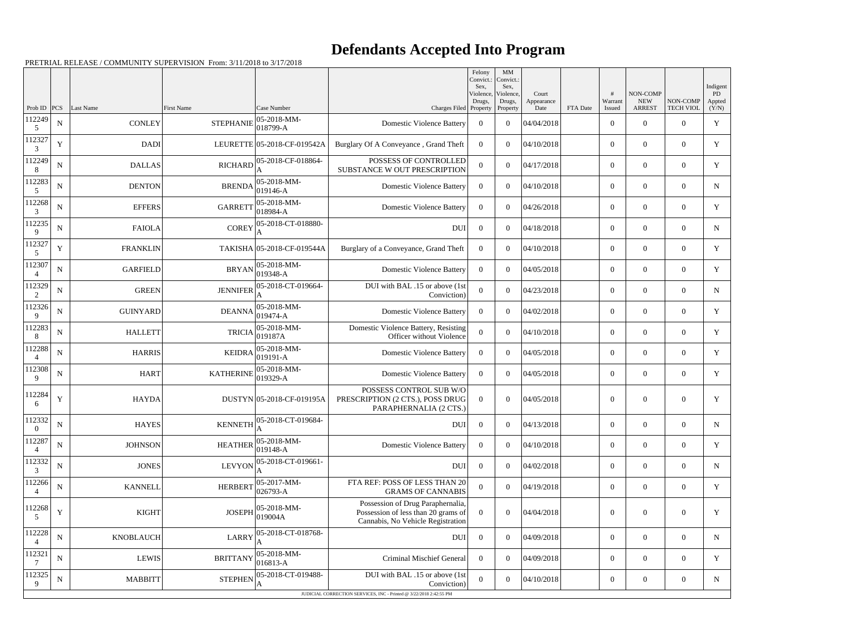## **Defendants Accepted Into Program**

|                          |             |                  |                   |                             |                                                                                                               | Felony<br>Convict.:<br>Sex. | MM<br>Convict.:<br>Sex,         |                             |          |                        |                                                |                              | Indigent                     |
|--------------------------|-------------|------------------|-------------------|-----------------------------|---------------------------------------------------------------------------------------------------------------|-----------------------------|---------------------------------|-----------------------------|----------|------------------------|------------------------------------------------|------------------------------|------------------------------|
| Prob ID $ PCS $          |             | Last Name        | <b>First Name</b> | Case Number                 | Charges Filed Property                                                                                        | Violence,<br>Drugs,         | Violence,<br>Drugs,<br>Property | Court<br>Appearance<br>Date | FTA Date | #<br>Warrant<br>Issued | <b>NON-COMP</b><br><b>NEW</b><br><b>ARREST</b> | NON-COMP<br><b>TECH VIOL</b> | <b>PD</b><br>Appted<br>(Y/N) |
| 112249<br>5              | ${\bf N}$   | <b>CONLEY</b>    | <b>STEPHANIE</b>  | 05-2018-MM-<br>018799-A     | <b>Domestic Violence Battery</b>                                                                              | $\overline{0}$              | $\overline{0}$                  | 04/04/2018                  |          | $\overline{0}$         | $\overline{0}$                                 | $\overline{0}$               | $\mathbf Y$                  |
| 112327<br>3              | $\mathbf Y$ | <b>DADI</b>      |                   | LEURETTE 05-2018-CF-019542A | Burglary Of A Conveyance, Grand Theft                                                                         | $\Omega$                    | $\theta$                        | 04/10/2018                  |          | $\overline{0}$         | $\overline{0}$                                 | $\overline{0}$               | Y                            |
| 112249<br>8              | $\mathbf N$ | <b>DALLAS</b>    | <b>RICHARD</b>    | 05-2018-CF-018864-          | POSSESS OF CONTROLLED<br>SUBSTANCE W OUT PRESCRIPTION                                                         | $\overline{0}$              | $\boldsymbol{0}$                | 04/17/2018                  |          | $\overline{0}$         | $\overline{0}$                                 | $\overline{0}$               | Y                            |
| 112283<br>5              | $\mathbf N$ | <b>DENTON</b>    | <b>BRENDA</b>     | 05-2018-MM-<br>$019146 - A$ | <b>Domestic Violence Battery</b>                                                                              | $\overline{0}$              | $\Omega$                        | 04/10/2018                  |          | $\overline{0}$         | $\overline{0}$                                 | $\overline{0}$               | N                            |
| 112268<br>3              | $\mathbf N$ | <b>EFFERS</b>    | <b>GARRETT</b>    | 05-2018-MM-<br>018984-A     | <b>Domestic Violence Battery</b>                                                                              | $\overline{0}$              | $\Omega$                        | 04/26/2018                  |          | $\overline{0}$         | $\Omega$                                       | $\overline{0}$               | Y                            |
| 112235<br>9              | $\mathbf N$ | <b>FAIOLA</b>    | <b>COREY</b>      | 05-2018-CT-018880-          | <b>DUI</b>                                                                                                    | $\overline{0}$              | $\Omega$                        | 04/18/2018                  |          | $\overline{0}$         | $\overline{0}$                                 | $\overline{0}$               | $\mathbf N$                  |
| 112327<br>5              | $\mathbf Y$ | <b>FRANKLIN</b>  |                   | TAKISHA 05-2018-CF-019544A  | Burglary of a Conveyance, Grand Theft                                                                         | $\overline{0}$              | $\overline{0}$                  | 04/10/2018                  |          | $\overline{0}$         | $\overline{0}$                                 | $\overline{0}$               | Y                            |
| 112307                   | ${\bf N}$   | <b>GARFIELD</b>  | <b>BRYAN</b>      | 05-2018-MM-<br>019348-A     | <b>Domestic Violence Battery</b>                                                                              | $\overline{0}$              | $\Omega$                        | 04/05/2018                  |          | $\overline{0}$         | $\overline{0}$                                 | $\overline{0}$               | Y                            |
| 112329<br>2              | $\mathbf N$ | <b>GREEN</b>     | <b>JENNIFER</b>   | 05-2018-CT-019664-          | DUI with BAL .15 or above (1st<br>Conviction)                                                                 | $\theta$                    | $\theta$                        | 04/23/2018                  |          | $\overline{0}$         | $\Omega$                                       | $\overline{0}$               | $\mathbf N$                  |
| 112326<br>9              | ${\bf N}$   | <b>GUINYARD</b>  | <b>DEANNA</b>     | 05-2018-MM-<br>019474-A     | <b>Domestic Violence Battery</b>                                                                              | $\Omega$                    | $\theta$                        | 04/02/2018                  |          | $\overline{0}$         | $\overline{0}$                                 | $\overline{0}$               | Y                            |
| 112283<br>8              | $\mathbf N$ | <b>HALLETT</b>   | <b>TRICIA</b>     | 05-2018-MM-<br>019187A      | Domestic Violence Battery, Resisting<br>Officer without Violence                                              | $\theta$                    | $\boldsymbol{0}$                | 04/10/2018                  |          | $\overline{0}$         | $\overline{0}$                                 | $\overline{0}$               | Y                            |
| 112288                   | $\mathbf N$ | <b>HARRIS</b>    | <b>KEIDRA</b>     | 05-2018-MM-<br>019191-A     | <b>Domestic Violence Battery</b>                                                                              | $\Omega$                    | $\Omega$                        | 04/05/2018                  |          | $\overline{0}$         | $\overline{0}$                                 | $\overline{0}$               | Y                            |
| 112308<br>9              | $\mathbf N$ | <b>HART</b>      | <b>KATHERINE</b>  | 05-2018-MM-<br>019329-A     | <b>Domestic Violence Battery</b>                                                                              | $\overline{0}$              | $\theta$                        | 04/05/2018                  |          | $\overline{0}$         | $\overline{0}$                                 | $\overline{0}$               | Y                            |
| 112284<br>6              | $\mathbf Y$ | <b>HAYDA</b>     |                   | DUSTYN 05-2018-CF-019195A   | POSSESS CONTROL SUB W/O<br>PRESCRIPTION (2 CTS.), POSS DRUG<br>PARAPHERNALIA (2 CTS.)                         | $\overline{0}$              | $\overline{0}$                  | 04/05/2018                  |          | $\overline{0}$         | $\boldsymbol{0}$                               | $\overline{0}$               | Y                            |
| 112332<br>$\overline{0}$ | ${\bf N}$   | <b>HAYES</b>     | <b>KENNETH</b>    | 05-2018-CT-019684-          | DUI                                                                                                           | $\overline{0}$              | $\overline{0}$                  | 04/13/2018                  |          | $\overline{0}$         | $\overline{0}$                                 | $\overline{0}$               | $\mathbf N$                  |
| 112287<br>$\overline{4}$ | ${\bf N}$   | <b>JOHNSON</b>   | <b>HEATHER</b>    | 05-2018-MM-<br>019148-A     | <b>Domestic Violence Battery</b>                                                                              | $\overline{0}$              | $\overline{0}$                  | 04/10/2018                  |          | $\overline{0}$         | $\boldsymbol{0}$                               | $\overline{0}$               | Y                            |
| 112332<br>3              | ${\bf N}$   | <b>JONES</b>     | <b>LEVYON</b>     | 05-2018-CT-019661-          | <b>DUI</b>                                                                                                    | $\mathbf{0}$                | $\boldsymbol{0}$                | 04/02/2018                  |          | $\overline{0}$         | $\overline{0}$                                 | $\overline{0}$               | N                            |
| 112266<br>$\overline{4}$ | ${\bf N}$   | <b>KANNELL</b>   | <b>HERBERT</b>    | 05-2017-MM-<br>026793-A     | FTA REF: POSS OF LESS THAN 20<br><b>GRAMS OF CANNABIS</b>                                                     | $\overline{0}$              | $\overline{0}$                  | 04/19/2018                  |          | $\overline{0}$         | $\boldsymbol{0}$                               | $\overline{0}$               | Y                            |
| 112268<br>5              | $\mathbf Y$ | <b>KIGHT</b>     | <b>JOSEPH</b>     | 05-2018-MM-<br>019004A      | Possession of Drug Paraphernalia,<br>Possession of less than 20 grams of<br>Cannabis, No Vehicle Registration | $\overline{0}$              | $\boldsymbol{0}$                | 04/04/2018                  |          | $\boldsymbol{0}$       | $\overline{0}$                                 | $\overline{0}$               | Y                            |
| 112228<br>$\overline{4}$ | ${\bf N}$   | <b>KNOBLAUCH</b> | <b>LARRY</b>      | 05-2018-CT-018768-          | <b>DUI</b>                                                                                                    | $\overline{0}$              | $\boldsymbol{0}$                | 04/09/2018                  |          | $\overline{0}$         | $\overline{0}$                                 | $\overline{0}$               | $\mathbf N$                  |
| 112321                   | ${\bf N}$   | <b>LEWIS</b>     | <b>BRITTANY</b>   | 05-2018-MM-<br>016813-A     | <b>Criminal Mischief General</b>                                                                              | $\overline{0}$              | $\boldsymbol{0}$                | 04/09/2018                  |          | $\overline{0}$         | $\overline{0}$                                 | $\overline{0}$               | Y                            |
| 112325<br>9              | ${\bf N}$   | <b>MABBITT</b>   | <b>STEPHEN</b>    | 05-2018-CT-019488-          | DUI with BAL .15 or above (1st<br>Conviction)                                                                 | $\boldsymbol{0}$            | $\overline{0}$                  | 04/10/2018                  |          | $\overline{0}$         | $\mathbf{0}$                                   | $\boldsymbol{0}$             | N                            |
|                          |             |                  |                   |                             | JUDICIAL CORRECTION SERVICES, INC - Printed @ 3/22/2018 2:42:55 PM                                            |                             |                                 |                             |          |                        |                                                |                              |                              |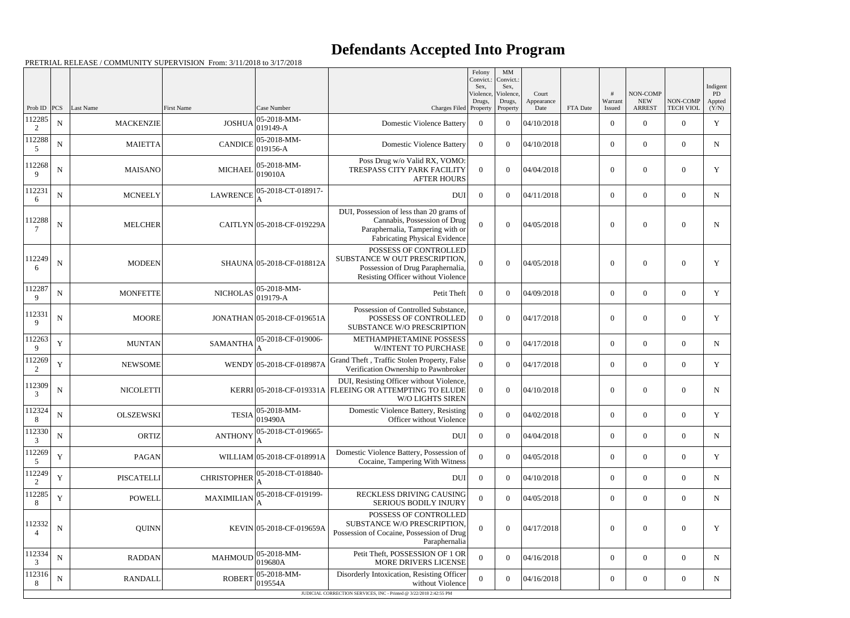## **Defendants Accepted Into Program**

|                            |                   |                               |                                    |                                                                                    |                                                                                                                                                      | Felony<br>Convict.:<br>Sex. | MM<br>Convict.:<br>Sex,    |                     |          |                            |                                 |                                    | Indigent             |
|----------------------------|-------------------|-------------------------------|------------------------------------|------------------------------------------------------------------------------------|------------------------------------------------------------------------------------------------------------------------------------------------------|-----------------------------|----------------------------|---------------------|----------|----------------------------|---------------------------------|------------------------------------|----------------------|
|                            |                   |                               |                                    |                                                                                    |                                                                                                                                                      | Violence,<br>Drugs,         | Violence,<br>Drugs,        | Court<br>Appearance |          | #<br>Warrant               | NON-COMP<br><b>NEW</b>          | NON-COMP                           | PD<br>Appted         |
| Prob ID<br>112285          | PCS <br>${\bf N}$ | Last Name<br><b>MACKENZIE</b> | <b>First Name</b><br><b>JOSHUA</b> | Case Number<br>05-2018-MM-                                                         | Charges Filed Property<br><b>Domestic Violence Battery</b>                                                                                           | $\overline{0}$              | Property<br>$\overline{0}$ | Date<br>04/10/2018  | FTA Date | Issued<br>$\boldsymbol{0}$ | <b>ARREST</b><br>$\overline{0}$ | <b>TECH VIOL</b><br>$\overline{0}$ | (Y/N)<br>$\mathbf Y$ |
| 2<br>112288                | $\mathbf N$       | <b>MAIETTA</b>                | <b>CANDICE</b>                     | 019149-A<br>05-2018-MM-                                                            | <b>Domestic Violence Battery</b>                                                                                                                     | $\Omega$                    | $\overline{0}$             | 04/10/2018          |          | $\overline{0}$             | $\overline{0}$                  | $\overline{0}$                     | ${\bf N}$            |
| 5<br>112268<br>$\mathbf Q$ | ${\bf N}$         | <b>MAISANO</b>                | <b>MICHAEL</b>                     | $019156 - A$<br>05-2018-MM-<br>019010A                                             | Poss Drug w/o Valid RX, VOMO:<br>TRESPASS CITY PARK FACILITY<br><b>AFTER HOURS</b>                                                                   | $\Omega$                    | $\Omega$                   | 04/04/2018          |          | $\overline{0}$             | $\overline{0}$                  | $\overline{0}$                     | Y                    |
| 112231<br>6                | $\mathbf N$       | <b>MCNEELY</b>                | <b>LAWRENCE</b>                    | 05-2018-CT-018917-                                                                 | <b>DUI</b>                                                                                                                                           | $\overline{0}$              | $\theta$                   | 04/11/2018          |          | $\overline{0}$             | $\overline{0}$                  | $\overline{0}$                     | $\mathbf N$          |
| 112288                     | ${\bf N}$         | <b>MELCHER</b>                |                                    | CAITLYN 05-2018-CF-019229A                                                         | DUI, Possession of less than 20 grams of<br>Cannabis, Possession of Drug<br>Paraphernalia, Tampering with or<br><b>Fabricating Physical Evidence</b> | $\Omega$                    | $\Omega$                   | 04/05/2018          |          | $\Omega$                   | $\overline{0}$                  | $\Omega$                           | N                    |
| 112249<br>6                | $\mathbf N$       | <b>MODEEN</b>                 |                                    | SHAUNA 05-2018-CF-018812A                                                          | POSSESS OF CONTROLLED<br>SUBSTANCE W OUT PRESCRIPTION.<br>Possession of Drug Paraphernalia,<br>Resisting Officer without Violence                    | $\Omega$                    | $\Omega$                   | 04/05/2018          |          | $\Omega$                   | $\theta$                        | $\Omega$                           | Y                    |
| 112287<br>9                | ${\bf N}$         | <b>MONFETTE</b>               | $NICHOLAS$ 019179-A                | $05 - 2018 - MM -$                                                                 | Petit Theft                                                                                                                                          | $\Omega$                    | $\theta$                   | 04/09/2018          |          | $\overline{0}$             | $\overline{0}$                  | $\overline{0}$                     | $\mathbf Y$          |
| 112331<br>9                | ${\bf N}$         | <b>MOORE</b>                  |                                    | JONATHAN 05-2018-CF-019651A                                                        | Possession of Controlled Substance,<br>POSSESS OF CONTROLLED<br>SUBSTANCE W/O PRESCRIPTION                                                           | $\theta$                    | $\Omega$                   | 04/17/2018          |          | $\overline{0}$             | $\theta$                        | $\theta$                           | Y                    |
| 112263<br>9                | $\mathbf Y$       | <b>MUNTAN</b>                 | <b>SAMANTHA</b>                    | 05-2018-CF-019006-                                                                 | METHAMPHETAMINE POSSESS<br><b>W/INTENT TO PURCHASE</b>                                                                                               | $\overline{0}$              | $\overline{0}$             | 04/17/2018          |          | $\overline{0}$             | $\overline{0}$                  | $\overline{0}$                     | $\mathbf N$          |
| 112269<br>2                | Y                 | <b>NEWSOME</b>                |                                    | WENDY 05-2018-CF-018987A                                                           | Grand Theft, Traffic Stolen Property, False<br>Verification Ownership to Pawnbroker                                                                  | $\theta$                    | $\Omega$                   | 04/17/2018          |          | $\overline{0}$             | $\overline{0}$                  | $\overline{0}$                     | Y                    |
| 112309<br>3                | $\mathbf N$       | <b>NICOLETTI</b>              |                                    |                                                                                    | DUI, Resisting Officer without Violence,<br>KERRI 05-2018-CF-019331A FLEEING OR ATTEMPTING TO ELUDE<br>W/O LIGHTS SIREN                              | $\theta$                    | $\overline{0}$             | 04/10/2018          |          | $\overline{0}$             | $\overline{0}$                  | $\overline{0}$                     | $\mathbf N$          |
| 112324<br>8                | ${\bf N}$         | <b>OLSZEWSKI</b>              |                                    | $ 05-2018-MM-$<br>$\text{TESIA} \begin{vmatrix} 0 & 0 \\ 0 & 19490A \end{vmatrix}$ | Domestic Violence Battery, Resisting<br>Officer without Violence                                                                                     | $\boldsymbol{0}$            | $\overline{0}$             | 04/02/2018          |          | $\overline{0}$             | $\overline{0}$                  | $\overline{0}$                     | Y                    |
| 112330<br>3                | $\mathbf N$       | <b>ORTIZ</b>                  | <b>ANTHONY</b>                     | 05-2018-CT-019665-                                                                 | <b>DUI</b>                                                                                                                                           | $\overline{0}$              | $\boldsymbol{0}$           | 04/04/2018          |          | $\overline{0}$             | $\overline{0}$                  | $\boldsymbol{0}$                   | $\mathbf N$          |
| 112269<br>5                | $\mathbf Y$       | <b>PAGAN</b>                  |                                    | WILLIAM 05-2018-CF-018991A                                                         | Domestic Violence Battery, Possession of<br>Cocaine, Tampering With Witness                                                                          | $\overline{0}$              | $\boldsymbol{0}$           | 04/05/2018          |          | $\boldsymbol{0}$           | $\overline{0}$                  | $\overline{0}$                     | Y                    |
| 112249<br>2                | Y                 | <b>PISCATELLI</b>             | <b>CHRISTOPHER</b>                 | 05-2018-CT-018840-                                                                 | <b>DUI</b>                                                                                                                                           | $\overline{0}$              | $\overline{0}$             | 04/10/2018          |          | $\overline{0}$             | $\overline{0}$                  | $\boldsymbol{0}$                   | N                    |
| 112285<br>8                | Y                 | <b>POWELL</b>                 | <b>MAXIMILIAN</b>                  | 05-2018-CF-019199-                                                                 | RECKLESS DRIVING CAUSING<br>SERIOUS BODILY INJURY                                                                                                    | $\overline{0}$              | $\overline{0}$             | 04/05/2018          |          | $\overline{0}$             | $\overline{0}$                  | $\overline{0}$                     | $\mathbf N$          |
| 112332                     | $\mathbf N$       | QUINN                         |                                    | KEVIN 05-2018-CF-019659A                                                           | POSSESS OF CONTROLLED<br>SUBSTANCE W/O PRESCRIPTION,<br>Possession of Cocaine, Possession of Drug<br>Paraphernalia                                   | $\theta$                    | $\boldsymbol{0}$           | 04/17/2018          |          | $\overline{0}$             | $\mathbf{0}$                    | $\boldsymbol{0}$                   | Y                    |
| 112334<br>3                | ${\bf N}$         | <b>RADDAN</b>                 | <b>MAHMOUD</b>                     | 05-2018-MM-<br>019680A                                                             | Petit Theft, POSSESSION OF 1 OR<br>MORE DRIVERS LICENSE                                                                                              | $\boldsymbol{0}$            | $\boldsymbol{0}$           | 04/16/2018          |          | $\overline{0}$             | $\overline{0}$                  | $\overline{0}$                     | $\mathbf N$          |
| 112316<br>8                | $\mathbf N$       | <b>RANDALL</b>                | <b>ROBERT</b>                      | 05-2018-MM-<br>019554A                                                             | Disorderly Intoxication, Resisting Officer<br>without Violence                                                                                       | $\overline{0}$              | $\overline{0}$             | 04/16/2018          |          | $\overline{0}$             | $\overline{0}$                  | $\boldsymbol{0}$                   | $\mathbf N$          |
|                            |                   |                               |                                    |                                                                                    | JUDICIAL CORRECTION SERVICES, INC - Printed @ 3/22/2018 2:42:55 PM                                                                                   |                             |                            |                     |          |                            |                                 |                                    |                      |